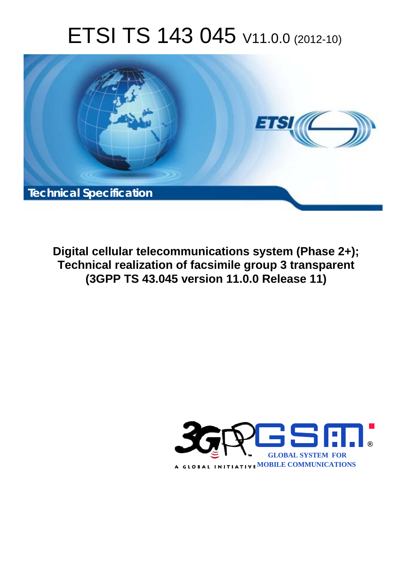# ETSI TS 143 045 V11.0.0 (2012-10)



**Digital cellular telecommunications system (Phase 2+); Technical realization of facsimile group 3 transparent (3GPP TS 43.045 version 11.0.0 Release 11)** 

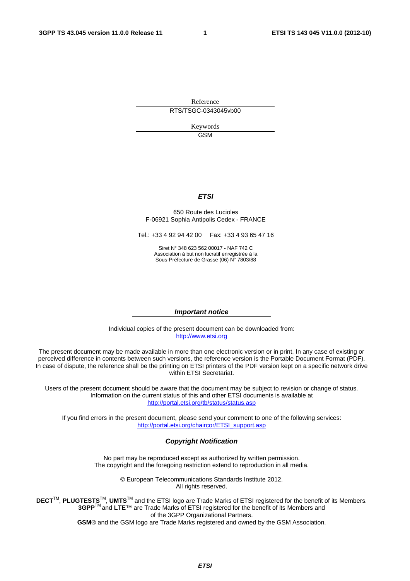Reference RTS/TSGC-0343045vb00

> Keywords GSM

#### *ETSI*

#### 650 Route des Lucioles F-06921 Sophia Antipolis Cedex - FRANCE

Tel.: +33 4 92 94 42 00 Fax: +33 4 93 65 47 16

Siret N° 348 623 562 00017 - NAF 742 C Association à but non lucratif enregistrée à la Sous-Préfecture de Grasse (06) N° 7803/88

#### *Important notice*

Individual copies of the present document can be downloaded from: [http://www.etsi.org](http://www.etsi.org/)

The present document may be made available in more than one electronic version or in print. In any case of existing or perceived difference in contents between such versions, the reference version is the Portable Document Format (PDF). In case of dispute, the reference shall be the printing on ETSI printers of the PDF version kept on a specific network drive within ETSI Secretariat.

Users of the present document should be aware that the document may be subject to revision or change of status. Information on the current status of this and other ETSI documents is available at <http://portal.etsi.org/tb/status/status.asp>

If you find errors in the present document, please send your comment to one of the following services: [http://portal.etsi.org/chaircor/ETSI\\_support.asp](http://portal.etsi.org/chaircor/ETSI_support.asp)

#### *Copyright Notification*

No part may be reproduced except as authorized by written permission. The copyright and the foregoing restriction extend to reproduction in all media.

> © European Telecommunications Standards Institute 2012. All rights reserved.

DECT<sup>™</sup>, PLUGTESTS<sup>™</sup>, UMTS<sup>™</sup> and the ETSI logo are Trade Marks of ETSI registered for the benefit of its Members. **3GPP**TM and **LTE**™ are Trade Marks of ETSI registered for the benefit of its Members and of the 3GPP Organizational Partners.

**GSM**® and the GSM logo are Trade Marks registered and owned by the GSM Association.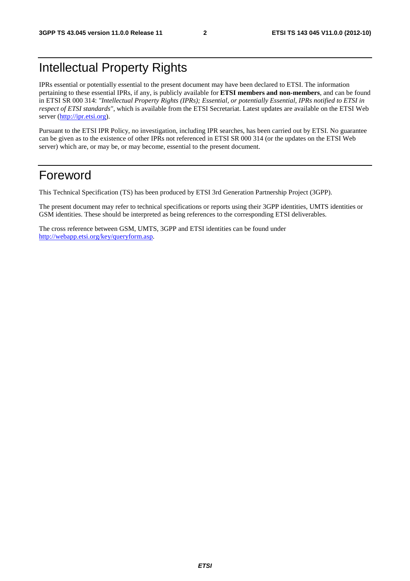# Intellectual Property Rights

IPRs essential or potentially essential to the present document may have been declared to ETSI. The information pertaining to these essential IPRs, if any, is publicly available for **ETSI members and non-members**, and can be found in ETSI SR 000 314: *"Intellectual Property Rights (IPRs); Essential, or potentially Essential, IPRs notified to ETSI in respect of ETSI standards"*, which is available from the ETSI Secretariat. Latest updates are available on the ETSI Web server ([http://ipr.etsi.org\)](http://webapp.etsi.org/IPR/home.asp).

Pursuant to the ETSI IPR Policy, no investigation, including IPR searches, has been carried out by ETSI. No guarantee can be given as to the existence of other IPRs not referenced in ETSI SR 000 314 (or the updates on the ETSI Web server) which are, or may be, or may become, essential to the present document.

### Foreword

This Technical Specification (TS) has been produced by ETSI 3rd Generation Partnership Project (3GPP).

The present document may refer to technical specifications or reports using their 3GPP identities, UMTS identities or GSM identities. These should be interpreted as being references to the corresponding ETSI deliverables.

The cross reference between GSM, UMTS, 3GPP and ETSI identities can be found under [http://webapp.etsi.org/key/queryform.asp.](http://webapp.etsi.org/key/queryform.asp)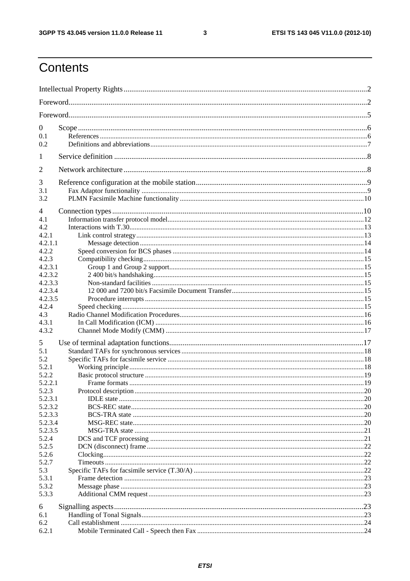$\mathbf{3}$ 

# Contents

| $\boldsymbol{0}$ |  |
|------------------|--|
| 0.1              |  |
| 0.2              |  |
| 1                |  |
| $\overline{2}$   |  |
| 3                |  |
| 3.1              |  |
| 3.2              |  |
|                  |  |
| 4                |  |
| 4.1<br>4.2       |  |
| 4.2.1            |  |
| 4.2.1.1          |  |
| 4.2.2            |  |
| 4.2.3            |  |
| 4.2.3.1          |  |
| 4.2.3.2          |  |
| 4.2.3.3          |  |
| 4.2.3.4          |  |
| 4.2.3.5          |  |
| 4.2.4            |  |
| 4.3              |  |
| 4.3.1            |  |
| 4.3.2            |  |
| 5                |  |
| 5.1              |  |
| 5.2              |  |
| 5.2.1            |  |
| 5.2.2            |  |
| 5.2.2.1          |  |
| 5.2.3            |  |
| 5.2.3.1          |  |
| 5.2.3.2          |  |
| 5.2.3.3          |  |
| 5.2.3.4          |  |
| 5.2.3.5          |  |
| 5.2.4            |  |
| 5.2.5            |  |
| 5.2.6            |  |
| 5.2.7            |  |
| 5.3<br>5.3.1     |  |
| 5.3.2            |  |
| 5.3.3            |  |
|                  |  |
| 6                |  |
| 6.1              |  |
| 6.2              |  |
| 6.2.1            |  |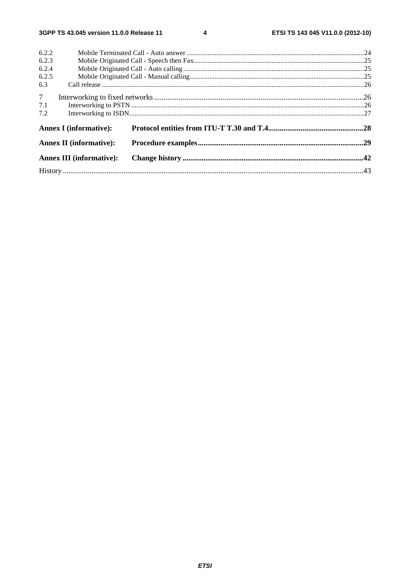$\overline{\mathbf{4}}$ 

| 6.2.2           |                                 |  |  |  |  |
|-----------------|---------------------------------|--|--|--|--|
| 6.2.3           |                                 |  |  |  |  |
| 6.2.4           |                                 |  |  |  |  |
| 6.2.5           |                                 |  |  |  |  |
| 6.3             |                                 |  |  |  |  |
| $7\overline{ }$ |                                 |  |  |  |  |
| 7.1             |                                 |  |  |  |  |
| 7.2             |                                 |  |  |  |  |
|                 | <b>Annex I</b> (informative):   |  |  |  |  |
|                 | <b>Annex II (informative):</b>  |  |  |  |  |
|                 | <b>Annex III (informative):</b> |  |  |  |  |
|                 |                                 |  |  |  |  |
|                 |                                 |  |  |  |  |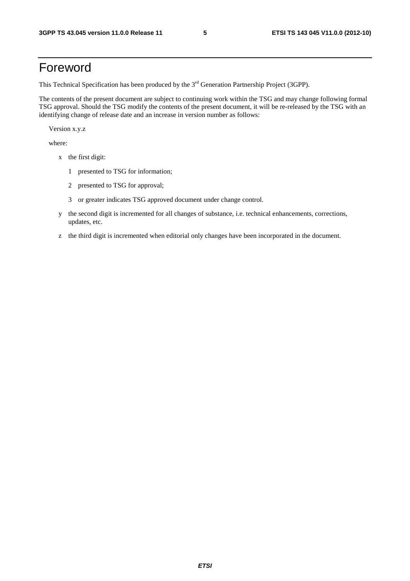### Foreword

This Technical Specification has been produced by the 3<sup>rd</sup> Generation Partnership Project (3GPP).

The contents of the present document are subject to continuing work within the TSG and may change following formal TSG approval. Should the TSG modify the contents of the present document, it will be re-released by the TSG with an identifying change of release date and an increase in version number as follows:

Version x.y.z

where:

- x the first digit:
	- 1 presented to TSG for information;
	- 2 presented to TSG for approval;
	- 3 or greater indicates TSG approved document under change control.
- y the second digit is incremented for all changes of substance, i.e. technical enhancements, corrections, updates, etc.
- z the third digit is incremented when editorial only changes have been incorporated in the document.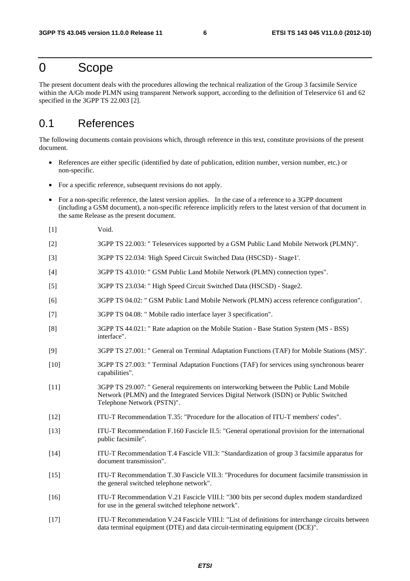### 0 Scope

The present document deals with the procedures allowing the technical realization of the Group 3 facsimile Service within the A/Gb mode PLMN using transparent Network support, according to the definition of Teleservice 61 and 62 specified in the 3GPP TS 22.003 [2].

### 0.1 References

The following documents contain provisions which, through reference in this text, constitute provisions of the present document.

- References are either specific (identified by date of publication, edition number, version number, etc.) or non-specific.
- For a specific reference, subsequent revisions do not apply.
- For a non-specific reference, the latest version applies. In the case of a reference to a 3GPP document (including a GSM document), a non-specific reference implicitly refers to the latest version of that document in the same Release as the present document.
- [1] Void.
- [2] 3GPP TS 22.003: " Teleservices supported by a GSM Public Land Mobile Network (PLMN)".
- [3] 3GPP TS 22.034: 'High Speed Circuit Switched Data (HSCSD) Stage1'.
- [4] 3GPP TS 43.010: " GSM Public Land Mobile Network (PLMN) connection types".
- [5] 3GPP TS 23.034: " High Speed Circuit Switched Data (HSCSD) Stage2.
- [6] 3GPP TS 04.02: " GSM Public Land Mobile Network (PLMN) access reference configuration".
- [7] 3GPP TS 04.08: " Mobile radio interface layer 3 specification".
- [8] 3GPP TS 44.021: " Rate adaption on the Mobile Station Base Station System (MS BSS) interface".
- [9] 3GPP TS 27.001: " General on Terminal Adaptation Functions (TAF) for Mobile Stations (MS)".
- [10] 3GPP TS 27.003: " Terminal Adaptation Functions (TAF) for services using synchronous bearer capabilities".
- [11] 3GPP TS 29.007: " General requirements on interworking between the Public Land Mobile Network (PLMN) and the Integrated Services Digital Network (ISDN) or Public Switched Telephone Network (PSTN)".
- [12] ITU-T Recommendation T.35: "Procedure for the allocation of ITU-T members' codes".
- [13] ITU-T Recommendation F.160 Fascicle II.5: "General operational provision for the international public facsimile".
- [14] ITU-T Recommendation T.4 Fascicle VII.3: "Standardization of group 3 facsimile apparatus for document transmission".
- [15] ITU-T Recommendation T.30 Fascicle VII.3: "Procedures for document facsimile transmission in the general switched telephone network".
- [16] ITU-T Recommendation V.21 Fascicle VIII.l: "300 bits per second duplex modem standardized for use in the general switched telephone network".
- [17] ITU-T Recommendation V.24 Fascicle VIII.l: "List of definitions for interchange circuits between data terminal equipment (DTE) and data circuit-terminating equipment (DCE)".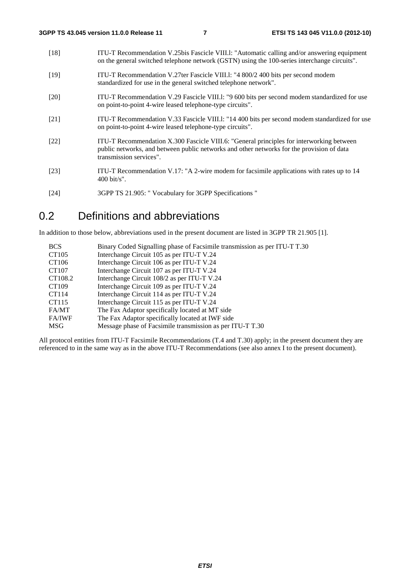| $[18]$             | ITU-T Recommendation V.25bis Fascicle VIII.1: "Automatic calling and/or answering equipment<br>on the general switched telephone network (GSTN) using the 100-series interchange circuits".                      |
|--------------------|------------------------------------------------------------------------------------------------------------------------------------------------------------------------------------------------------------------|
| $[19]$             | ITU-T Recommendation V.27ter Fascicle VIII.1: "4 800/2 400 bits per second modem<br>standardized for use in the general switched telephone network".                                                             |
| $\lceil 20 \rceil$ | ITU-T Recommendation V.29 Fascicle VIII.1: "9 600 bits per second modem standardized for use<br>on point-to-point 4-wire leased telephone-type circuits".                                                        |
| [21]               | ITU-T Recommendation V.33 Fascicle VIII.1: "14 400 bits per second modem standardized for use<br>on point-to-point 4-wire leased telephone-type circuits".                                                       |
| [22]               | ITU-T Recommendation X.300 Fascicle VIII.6: "General principles for interworking between<br>public networks, and between public networks and other networks for the provision of data<br>transmission services". |
| [23]               | ITU-T Recommendation V.17: "A 2-wire modem for facsimile applications with rates up to 14<br>$400 \text{ bit/s}$ ".                                                                                              |

[24] 3GPP TS 21.905: " Vocabulary for 3GPP Specifications "

### 0.2 Definitions and abbreviations

In addition to those below, abbreviations used in the present document are listed in 3GPP TR 21.905 [1].

| <b>BCS</b>    | Binary Coded Signalling phase of Facsimile transmission as per ITU-T T.30 |
|---------------|---------------------------------------------------------------------------|
| CT105         | Interchange Circuit 105 as per ITU-T V.24                                 |
| CT106         | Interchange Circuit 106 as per ITU-T V.24                                 |
| CT107         | Interchange Circuit 107 as per ITU-T V.24                                 |
| CT108.2       | Interchange Circuit 108/2 as per ITU-T V.24                               |
| CT109         | Interchange Circuit 109 as per ITU-T V.24                                 |
| CT114         | Interchange Circuit 114 as per ITU-T V.24                                 |
| CT115         | Interchange Circuit 115 as per ITU-T V.24                                 |
| FA/MT         | The Fax Adaptor specifically located at MT side                           |
| <b>FA/IWF</b> | The Fax Adaptor specifically located at IWF side                          |
| MSG           | Message phase of Facsimile transmission as per ITU-T T.30                 |

All protocol entities from ITU-T Facsimile Recommendations (T.4 and T.30) apply; in the present document they are referenced to in the same way as in the above ITU-T Recommendations (see also annex I to the present document).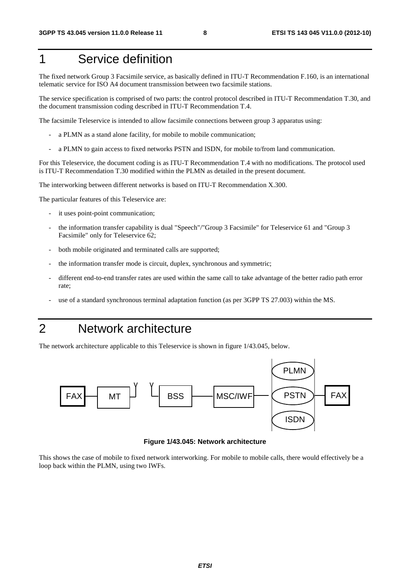# 1 Service definition

The fixed network Group 3 Facsimile service, as basically defined in ITU-T Recommendation F.160, is an international telematic service for ISO A4 document transmission between two facsimile stations.

The service specification is comprised of two parts: the control protocol described in ITU-T Recommendation T.30, and the document transmission coding described in ITU-T Recommendation T.4.

The facsimile Teleservice is intended to allow facsimile connections between group 3 apparatus using:

- a PLMN as a stand alone facility, for mobile to mobile communication;
- a PLMN to gain access to fixed networks PSTN and ISDN, for mobile to/from land communication.

For this Teleservice, the document coding is as ITU-T Recommendation T.4 with no modifications. The protocol used is ITU-T Recommendation T.30 modified within the PLMN as detailed in the present document.

The interworking between different networks is based on ITU-T Recommendation X.300.

The particular features of this Teleservice are:

- it uses point-point communication;
- the information transfer capability is dual "Speech"/"Group 3 Facsimile" for Teleservice 61 and "Group 3 Facsimile" only for Teleservice 62;
- both mobile originated and terminated calls are supported;
- the information transfer mode is circuit, duplex, synchronous and symmetric;
- different end-to-end transfer rates are used within the same call to take advantage of the better radio path error rate;
- use of a standard synchronous terminal adaptation function (as per 3GPP TS 27.003) within the MS.

# 2 Network architecture

The network architecture applicable to this Teleservice is shown in figure 1/43.045, below.



**Figure 1/43.045: Network architecture** 

This shows the case of mobile to fixed network interworking. For mobile to mobile calls, there would effectively be a loop back within the PLMN, using two IWFs.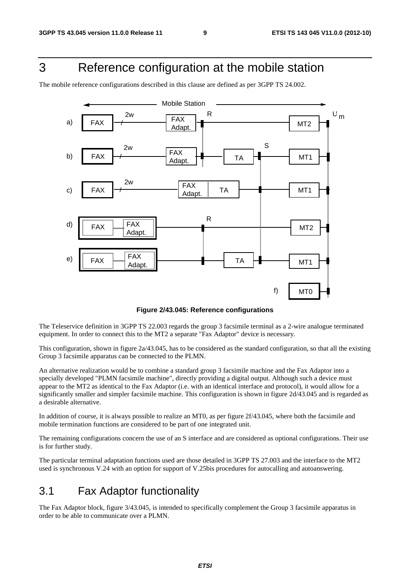# 3 Reference configuration at the mobile station

The mobile reference configurations described in this clause are defined as per 3GPP TS 24.002.



**Figure 2/43.045: Reference configurations** 

The Teleservice definition in 3GPP TS 22.003 regards the group 3 facsimile terminal as a 2-wire analogue terminated equipment. In order to connect this to the MT2 a separate "Fax Adaptor" device is necessary.

This configuration, shown in figure 2a/43.045, has to be considered as the standard configuration, so that all the existing Group 3 facsimile apparatus can be connected to the PLMN.

An alternative realization would be to combine a standard group 3 facsimile machine and the Fax Adaptor into a specially developed "PLMN facsimile machine", directly providing a digital output. Although such a device must appear to the MT2 as identical to the Fax Adaptor (i.e. with an identical interface and protocol), it would allow for a significantly smaller and simpler facsimile machine. This configuration is shown in figure 2d/43.045 and is regarded as a desirable alternative.

In addition of course, it is always possible to realize an MT0, as per figure 2f/43.045, where both the facsimile and mobile termination functions are considered to be part of one integrated unit.

The remaining configurations concern the use of an S interface and are considered as optional configurations. Their use is for further study.

The particular terminal adaptation functions used are those detailed in 3GPP TS 27.003 and the interface to the MT2 used is synchronous V.24 with an option for support of V.25bis procedures for autocalling and autoanswering.

### 3.1 Fax Adaptor functionality

The Fax Adaptor block, figure 3/43.045, is intended to specifically complement the Group 3 facsimile apparatus in order to be able to communicate over a PLMN.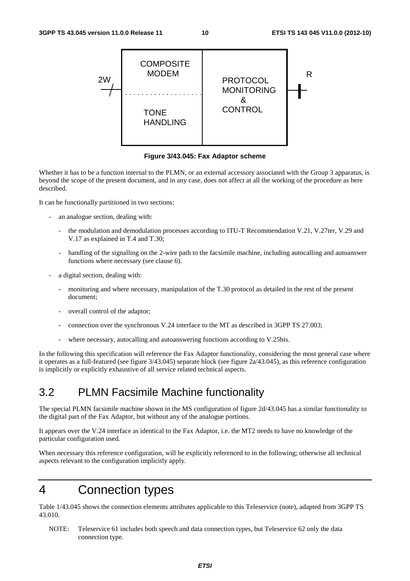

**Figure 3/43.045: Fax Adaptor scheme** 

Whether it has to be a function internal to the PLMN, or an external accessory associated with the Group 3 apparatus, is beyond the scope of the present document, and in any case, does not affect at all the working of the procedure as here described.

It can be functionally partitioned in two sections:

- an analogue section, dealing with:
	- the modulation and demodulation processes according to ITU-T Recommendation V.21, V.27ter, V.29 and V.17 as explained in T.4 and T.30;
	- handling of the signalling on the 2-wire path to the facsimile machine, including autocalling and autoanswer functions where necessary (see clause 6).
- a digital section, dealing with:
	- monitoring and where necessary, manipulation of the T.30 protocol as detailed in the rest of the present document;
	- overall control of the adaptor;
	- connection over the synchronous V.24 interface to the MT as described in 3GPP TS 27.003;
	- where necessary, autocalling and autoanswering functions according to V.25bis.

In the following this specification will reference the Fax Adaptor functionality, considering the most general case where it operates as a full-featured (see figure 3/43.045) separate block (see figure 2a/43.045), as this reference configuration is implicitly or explicitly exhaustive of all service related technical aspects.

### 3.2 PLMN Facsimile Machine functionality

The special PLMN facsimile machine shown in the MS configuration of figure 2d/43.045 has a similar functionality to the digital part of the Fax Adaptor, but without any of the analogue portions.

It appears over the V.24 interface as identical to the Fax Adaptor, i.e. the MT2 needs to have no knowledge of the particular configuration used.

When necessary this reference configuration, will be explicitly referenced to in the following; otherwise all technical aspects relevant to the configuration implicitly apply.

### 4 Connection types

Table 1/43.045 shows the connection elements attributes applicable to this Teleservice (note), adapted from 3GPP TS 43.010.

NOTE: Teleservice 61 includes both speech and data connection types, but Teleservice 62 only the data connection type.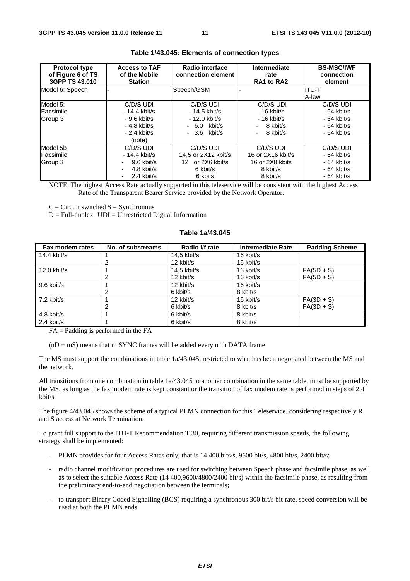| <b>Protocol type</b><br>of Figure 6 of TS<br>3GPP TS 43,010 | <b>Access to TAF</b><br>of the Mobile<br><b>Station</b> | Radio interface<br>connection element | Intermediate<br>rate<br>RA1 to RA2 | <b>BS-MSC/IWF</b><br>connection<br>element |
|-------------------------------------------------------------|---------------------------------------------------------|---------------------------------------|------------------------------------|--------------------------------------------|
| Model 6: Speech                                             |                                                         | Speech/GSM                            |                                    | ITU-T                                      |
|                                                             |                                                         |                                       |                                    | A-law                                      |
| Model 5:                                                    | C/D/S UDI                                               | C/D/S UDI                             | C/D/S UDI                          | C/D/S UDI                                  |
| Facsimile                                                   | $-14.4$ kbit/s                                          | - 14.5 kbit/s                         | $-16$ kbit/s                       | $-64$ kbit/s                               |
| Group 3                                                     | $-9.6$ kbit/s                                           | - 12.0 kbit/s                         | $-16$ kbit/s                       | $-64$ kbit/s                               |
|                                                             | $-4.8$ kbit/s                                           | $-6.0$ kbit/s                         | 8 kbit/s                           | $-64$ kbit/s                               |
|                                                             | $-2.4$ kbit/s                                           | $-3.6$ kbit/s                         | 8 kbit/s                           | $-64$ kbit/s                               |
|                                                             | (note)                                                  |                                       |                                    |                                            |
| Model 5b                                                    | C/D/S UDI                                               | C/D/S UDI                             | C/D/S UDI                          | C/D/S UDI                                  |
| Facsimile                                                   | $-14.4$ kbit/s                                          | 14.5 or 2X12 kbit/s                   | 16 or 2X16 kbit/s                  | $-64$ kbit/s                               |
| Group 3                                                     | $9.6$ kbit/s                                            | or 2X6 kbit/s<br>12.                  | 16 or 2X8 kbits                    | $-64$ kbit/s                               |
|                                                             | 4.8 kbit/s                                              | 6 kbit/s                              | 8 kbit/s                           | $-64$ kbit/s                               |
|                                                             | 2.4 kbit/s<br>$\overline{\phantom{a}}$                  | 6 kbits                               | 8 kbit/s                           | $-64$ kbit/s                               |

#### **Table 1/43.045: Elements of connection types**

NOTE: The highest Access Rate actually supported in this teleservice will be consistent with the highest Access Rate of the Transparent Bearer Service provided by the Network Operator.

 $C =$  Circuit switched  $S =$  Synchronous

 $D = Full-duplex$   $UDI = Unrestricted Digital Information$ 

#### **Table 1a/43.045**

| Fax modem rates | No. of substreams | Radio i/f rate | <b>Intermediate Rate</b> | <b>Padding Scheme</b> |
|-----------------|-------------------|----------------|--------------------------|-----------------------|
| 14.4 kbit/s     |                   | $14.5$ kbit/s  | 16 kbit/s                |                       |
|                 |                   | 12 kbit/s      | 16 kbit/s                |                       |
| 12.0 kbit/s     |                   | $14.5$ kbit/s  | 16 kbit/s                | $FA(5D + S)$          |
|                 |                   | 12 kbit/s      | 16 kbit/s                | $FA(5D + S)$          |
| 9.6 kbit/s      |                   | 12 kbit/s      | 16 kbit/s                |                       |
|                 | 2                 | 6 kbit/s       | 8 kbit/s                 |                       |
| $7.2$ kbit/s    |                   | 12 kbit/s      | 16 kbit/s                | $FA(3D + S)$          |
|                 |                   | 6 kbit/s       | 8 kbit/s                 | $FA(3D + S)$          |
| 4.8 kbit/s      |                   | 6 kbit/s       | 8 kbit/s                 |                       |
| $2.4$ kbit/s    |                   | 6 kbit/s       | 8 kbit/s                 |                       |

 $FA =$  Padding is performed in the  $FA$ 

 $(nD + mS)$  means that m SYNC frames will be added every n"th DATA frame

The MS must support the combinations in table 1a/43.045, restricted to what has been negotiated between the MS and the network.

All transitions from one combination in table 1a/43.045 to another combination in the same table, must be supported by the MS, as long as the fax modem rate is kept constant or the transition of fax modem rate is performed in steps of 2,4 kbit/s.

The figure 4/43.045 shows the scheme of a typical PLMN connection for this Teleservice, considering respectively R and S access at Network Termination.

To grant full support to the ITU-T Recommendation T.30, requiring different transmission speeds, the following strategy shall be implemented:

- PLMN provides for four Access Rates only, that is 14 400 bits/s, 9600 bit/s, 4800 bit/s, 2400 bit/s;
- radio channel modification procedures are used for switching between Speech phase and facsimile phase, as well as to select the suitable Access Rate (14 400,9600/4800/2400 bit/s) within the facsimile phase, as resulting from the preliminary end-to-end negotiation between the terminals;
- to transport Binary Coded Signalling (BCS) requiring a synchronous 300 bit/s bit-rate, speed conversion will be used at both the PLMN ends.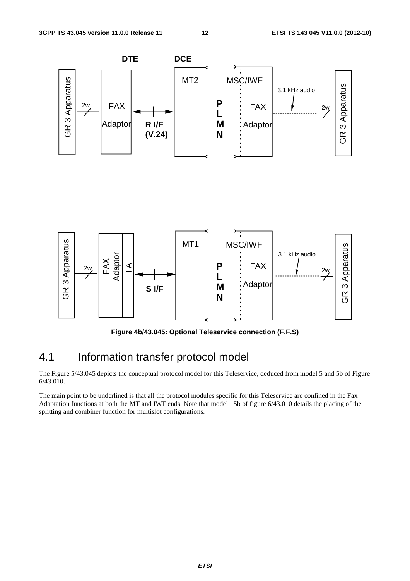

**Figure 4b/43.045: Optional Teleservice connection (F.F.S)** 

### 4.1 Information transfer protocol model

The Figure 5/43.045 depicts the conceptual protocol model for this Teleservice, deduced from model 5 and 5b of Figure 6/43.010.

The main point to be underlined is that all the protocol modules specific for this Teleservice are confined in the Fax Adaptation functions at both the MT and IWF ends. Note that model 5b of figure 6/43.010 details the placing of the splitting and combiner function for multislot configurations.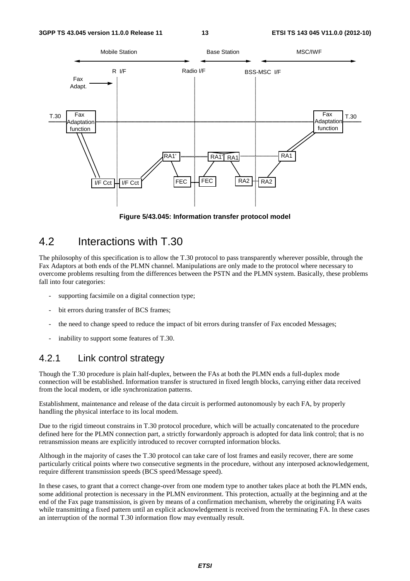

**Figure 5/43.045: Information transfer protocol model** 

### 4.2 Interactions with T.30

The philosophy of this specification is to allow the T.30 protocol to pass transparently wherever possible, through the Fax Adaptors at both ends of the PLMN channel. Manipulations are only made to the protocol where necessary to overcome problems resulting from the differences between the PSTN and the PLMN system. Basically, these problems fall into four categories:

- supporting facsimile on a digital connection type;
- bit errors during transfer of BCS frames:
- the need to change speed to reduce the impact of bit errors during transfer of Fax encoded Messages;
- inability to support some features of T.30.

#### 4.2.1 Link control strategy

Though the T.30 procedure is plain half-duplex, between the FAs at both the PLMN ends a full-duplex mode connection will be established. Information transfer is structured in fixed length blocks, carrying either data received from the local modem, or idle synchronization patterns.

Establishment, maintenance and release of the data circuit is performed autonomously by each FA, by properly handling the physical interface to its local modem.

Due to the rigid timeout constrains in T.30 protocol procedure, which will be actually concatenated to the procedure defined here for the PLMN connection part, a strictly forwardonly approach is adopted for data link control; that is no retransmission means are explicitly introduced to recover corrupted information blocks.

Although in the majority of cases the T.30 protocol can take care of lost frames and easily recover, there are some particularly critical points where two consecutive segments in the procedure, without any interposed acknowledgement, require different transmission speeds (BCS speed/Message speed).

In these cases, to grant that a correct change-over from one modem type to another takes place at both the PLMN ends, some additional protection is necessary in the PLMN environment. This protection, actually at the beginning and at the end of the Fax page transmission, is given by means of a confirmation mechanism, whereby the originating FA waits while transmitting a fixed pattern until an explicit acknowledgement is received from the terminating FA. In these cases an interruption of the normal T.30 information flow may eventually result.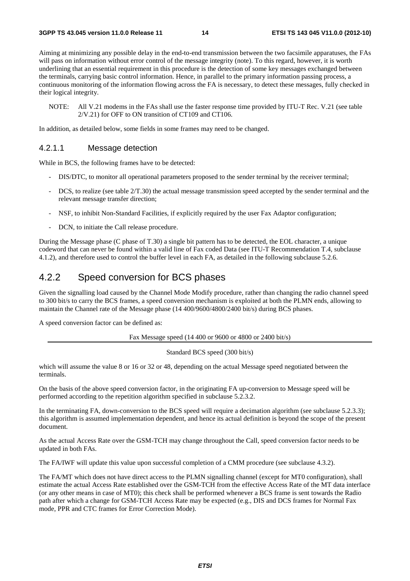Aiming at minimizing any possible delay in the end-to-end transmission between the two facsimile apparatuses, the FAs will pass on information without error control of the message integrity (note). To this regard, however, it is worth underlining that an essential requirement in this procedure is the detection of some key messages exchanged between the terminals, carrying basic control information. Hence, in parallel to the primary information passing process, a continuous monitoring of the information flowing across the FA is necessary, to detect these messages, fully checked in their logical integrity.

NOTE: All V.21 modems in the FAs shall use the faster response time provided by ITU-T Rec. V.21 (see table 2/V.21) for OFF to ON transition of CT109 and CT106.

In addition, as detailed below, some fields in some frames may need to be changed.

#### 4.2.1.1 Message detection

While in BCS, the following frames have to be detected:

- DIS/DTC, to monitor all operational parameters proposed to the sender terminal by the receiver terminal;
- DCS, to realize (see table  $2/T.30$ ) the actual message transmission speed accepted by the sender terminal and the relevant message transfer direction;
- NSF, to inhibit Non-Standard Facilities, if explicitly required by the user Fax Adaptor configuration;
- DCN, to initiate the Call release procedure.

During the Message phase (C phase of T.30) a single bit pattern has to be detected, the EOL character, a unique codeword that can never be found within a valid line of Fax coded Data (see ITU-T Recommendation T.4, subclause 4.1.2), and therefore used to control the buffer level in each FA, as detailed in the following subclause 5.2.6.

#### 4.2.2 Speed conversion for BCS phases

Given the signalling load caused by the Channel Mode Modify procedure, rather than changing the radio channel speed to 300 bit/s to carry the BCS frames, a speed conversion mechanism is exploited at both the PLMN ends, allowing to maintain the Channel rate of the Message phase (14 400/9600/4800/2400 bit/s) during BCS phases.

A speed conversion factor can be defined as:

Fax Message speed (14 400 or 9600 or 4800 or 2400 bit/s)

Standard BCS speed (300 bit/s)

which will assume the value 8 or 16 or 32 or 48, depending on the actual Message speed negotiated between the terminals.

On the basis of the above speed conversion factor, in the originating FA up-conversion to Message speed will be performed according to the repetition algorithm specified in subclause 5.2.3.2.

In the terminating FA, down-conversion to the BCS speed will require a decimation algorithm (see subclause 5.2.3.3); this algorithm is assumed implementation dependent, and hence its actual definition is beyond the scope of the present document.

As the actual Access Rate over the GSM-TCH may change throughout the Call, speed conversion factor needs to be updated in both FAs.

The FA/IWF will update this value upon successful completion of a CMM procedure (see subclause 4.3.2).

The FA/MT which does not have direct access to the PLMN signalling channel (except for MT0 configuration), shall estimate the actual Access Rate established over the GSM-TCH from the effective Access Rate of the MT data interface (or any other means in case of MT0); this check shall be performed whenever a BCS frame is sent towards the Radio path after which a change for GSM-TCH Access Rate may be expected (e.g., DIS and DCS frames for Normal Fax mode, PPR and CTC frames for Error Correction Mode).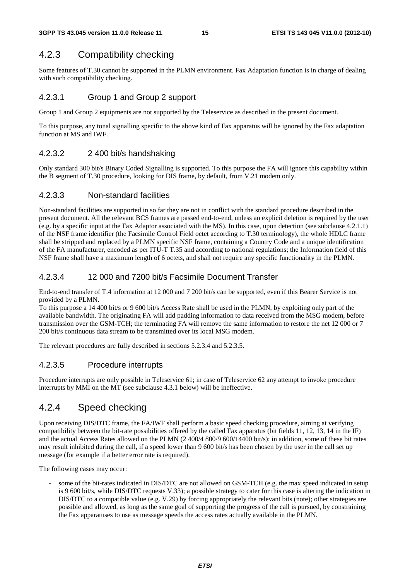### 4.2.3 Compatibility checking

Some features of T.30 cannot be supported in the PLMN environment. Fax Adaptation function is in charge of dealing with such compatibility checking.

#### 4.2.3.1 Group 1 and Group 2 support

Group 1 and Group 2 equipments are not supported by the Teleservice as described in the present document.

To this purpose, any tonal signalling specific to the above kind of Fax apparatus will be ignored by the Fax adaptation function at MS and IWF.

#### 4.2.3.2 2 400 bit/s handshaking

Only standard 300 bit/s Binary Coded Signalling is supported. To this purpose the FA will ignore this capability within the B segment of T.30 procedure, looking for DIS frame, by default, from V.21 modem only.

#### 4.2.3.3 Non-standard facilities

Non-standard facilities are supported in so far they are not in conflict with the standard procedure described in the present document. All the relevant BCS frames are passed end-to-end, unless an explicit deletion is required by the user (e.g. by a specific input at the Fax Adaptor associated with the MS). In this case, upon detection (see subclause 4.2.1.1) of the NSF frame identifier (the Facsimile Control Field octet according to T.30 terminology), the whole HDLC frame shall be stripped and replaced by a PLMN specific NSF frame, containing a Country Code and a unique identification of the FA manufacturer, encoded as per ITU-T T.35 and according to national regulations; the Information field of this NSF frame shall have a maximum length of 6 octets, and shall not require any specific functionality in the PLMN.

#### 4.2.3.4 12 000 and 7200 bit/s Facsimile Document Transfer

End-to-end transfer of T.4 information at 12 000 and 7 200 bit/s can be supported, even if this Bearer Service is not provided by a PLMN.

To this purpose a 14 400 bit/s or 9 600 bit/s Access Rate shall be used in the PLMN, by exploiting only part of the available bandwidth. The originating FA will add padding information to data received from the MSG modem, before transmission over the GSM-TCH; the terminating FA will remove the same information to restore the net 12 000 or 7 200 bit/s continuous data stream to be transmitted over its local MSG modem.

The relevant procedures are fully described in sections 5.2.3.4 and 5.2.3.5.

#### 4.2.3.5 Procedure interrupts

Procedure interrupts are only possible in Teleservice 61; in case of Teleservice 62 any attempt to invoke procedure interrupts by MMI on the MT (see subclause 4.3.1 below) will be ineffective.

### 4.2.4 Speed checking

Upon receiving DIS/DTC frame, the FA/IWF shall perform a basic speed checking procedure, aiming at verifying compatibility between the bit-rate possibilities offered by the called Fax apparatus (bit fields 11, 12, 13, 14 in the IF) and the actual Access Rates allowed on the PLMN (2 400/4 800/9 600/14400 bit/s); in addition, some of these bit rates may result inhibited during the call, if a speed lower than 9 600 bit/s has been chosen by the user in the call set up message (for example if a better error rate is required).

The following cases may occur:

some of the bit-rates indicated in DIS/DTC are not allowed on GSM-TCH (e.g. the max speed indicated in setup is 9 600 bit/s, while DIS/DTC requests V.33); a possible strategy to cater for this case is altering the indication in DIS/DTC to a compatible value (e.g. V.29) by forcing appropriately the relevant bits (note); other strategies are possible and allowed, as long as the same goal of supporting the progress of the call is pursued, by constraining the Fax apparatuses to use as message speeds the access rates actually available in the PLMN.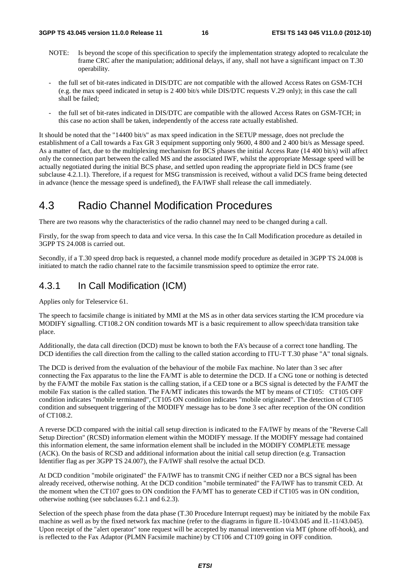- NOTE: Is beyond the scope of this specification to specify the implementation strategy adopted to recalculate the frame CRC after the manipulation; additional delays, if any, shall not have a significant impact on T.30 operability.
- the full set of bit-rates indicated in DIS/DTC are not compatible with the allowed Access Rates on GSM-TCH (e.g. the max speed indicated in setup is 2 400 bit/s while DIS/DTC requests V.29 only); in this case the call shall be failed;
- the full set of bit-rates indicated in DIS/DTC are compatible with the allowed Access Rates on GSM-TCH; in this case no action shall be taken, independently of the access rate actually established.

It should be noted that the "14400 bit/s" as max speed indication in the SETUP message, does not preclude the establishment of a Call towards a Fax GR 3 equipment supporting only 9600, 4 800 and 2 400 bit/s as Message speed. As a matter of fact, due to the multiplexing mechanism for BCS phases the initial Access Rate (14 400 bit/s) will affect only the connection part between the called MS and the associated IWF, whilst the appropriate Message speed will be actually negotiated during the initial BCS phase, and settled upon reading the appropriate field in DCS frame (see subclause 4.2.1.1). Therefore, if a request for MSG transmission is received, without a valid DCS frame being detected in advance (hence the message speed is undefined), the FA/IWF shall release the call immediately.

### 4.3 Radio Channel Modification Procedures

There are two reasons why the characteristics of the radio channel may need to be changed during a call.

Firstly, for the swap from speech to data and vice versa. In this case the In Call Modification procedure as detailed in 3GPP TS 24.008 is carried out.

Secondly, if a T.30 speed drop back is requested, a channel mode modify procedure as detailed in 3GPP TS 24.008 is initiated to match the radio channel rate to the facsimile transmission speed to optimize the error rate.

### 4.3.1 In Call Modification (ICM)

Applies only for Teleservice 61.

The speech to facsimile change is initiated by MMI at the MS as in other data services starting the ICM procedure via MODIFY signalling. CT108.2 ON condition towards MT is a basic requirement to allow speech/data transition take place.

Additionally, the data call direction (DCD) must be known to both the FA's because of a correct tone handling. The DCD identifies the call direction from the calling to the called station according to ITU-T T.30 phase "A" tonal signals.

The DCD is derived from the evaluation of the behaviour of the mobile Fax machine. No later than 3 sec after connecting the Fax apparatus to the line the FA/MT is able to determine the DCD. If a CNG tone or nothing is detected by the FA/MT the mobile Fax station is the calling station, if a CED tone or a BCS signal is detected by the FA/MT the mobile Fax station is the called station. The FA/MT indicates this towards the MT by means of CT105: CT105 OFF condition indicates "mobile terminated", CT105 ON condition indicates "mobile originated". The detection of CT105 condition and subsequent triggering of the MODIFY message has to be done 3 sec after reception of the ON condition of CT108.2.

A reverse DCD compared with the initial call setup direction is indicated to the FA/IWF by means of the "Reverse Call Setup Direction" (RCSD) information element within the MODIFY message. If the MODIFY message had contained this information element, the same information element shall be included in the MODIFY COMPLETE message (ACK). On the basis of RCSD and additional information about the initial call setup direction (e.g. Transaction Identifier flag as per 3GPP TS 24.007), the FA/IWF shall resolve the actual DCD.

At DCD condition "mobile originated" the FA/IWF has to transmit CNG if neither CED nor a BCS signal has been already received, otherwise nothing. At the DCD condition "mobile terminated" the FA/IWF has to transmit CED. At the moment when the CT107 goes to ON condition the FA/MT has to generate CED if CT105 was in ON condition, otherwise nothing (see subclauses 6.2.1 and 6.2.3).

Selection of the speech phase from the data phase (T.30 Procedure Interrupt request) may be initiated by the mobile Fax machine as well as by the fixed network fax machine (refer to the diagrams in figure II.-10/43.045 and II.-11/43.045). Upon receipt of the "alert operator" tone request will be accepted by manual intervention via MT (phone off-hook), and is reflected to the Fax Adaptor (PLMN Facsimile machine) by CT106 and CT109 going in OFF condition.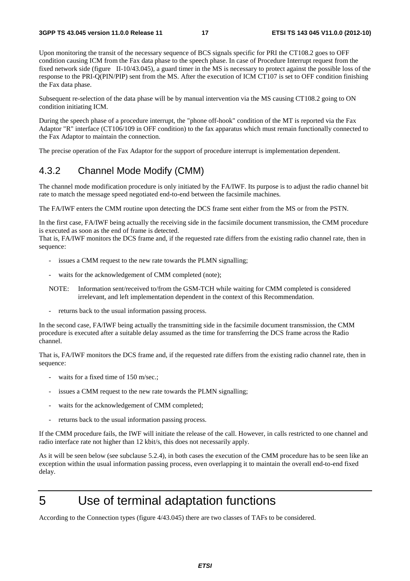Upon monitoring the transit of the necessary sequence of BCS signals specific for PRI the CT108.2 goes to OFF condition causing ICM from the Fax data phase to the speech phase. In case of Procedure Interrupt request from the fixed network side (figure II-10/43.045), a guard timer in the MS is necessary to protect against the possible loss of the response to the PRI-Q(PIN/PIP) sent from the MS. After the execution of ICM CT107 is set to OFF condition finishing the Fax data phase.

Subsequent re-selection of the data phase will be by manual intervention via the MS causing CT108.2 going to ON condition initiating ICM.

During the speech phase of a procedure interrupt, the "phone off-hook" condition of the MT is reported via the Fax Adaptor "R" interface (CT106/109 in OFF condition) to the fax apparatus which must remain functionally connected to the Fax Adaptor to maintain the connection.

The precise operation of the Fax Adaptor for the support of procedure interrupt is implementation dependent.

#### 4.3.2 Channel Mode Modify (CMM)

The channel mode modification procedure is only initiated by the FA/IWF. Its purpose is to adjust the radio channel bit rate to match the message speed negotiated end-to-end between the facsimile machines.

The FA/IWF enters the CMM routine upon detecting the DCS frame sent either from the MS or from the PSTN.

In the first case, FA/IWF being actually the receiving side in the facsimile document transmission, the CMM procedure is executed as soon as the end of frame is detected.

That is, FA/IWF monitors the DCS frame and, if the requested rate differs from the existing radio channel rate, then in sequence:

- issues a CMM request to the new rate towards the PLMN signalling;
- waits for the acknowledgement of CMM completed (note);
- NOTE: Information sent/received to/from the GSM-TCH while waiting for CMM completed is considered irrelevant, and left implementation dependent in the context of this Recommendation.
- returns back to the usual information passing process.

In the second case, FA/IWF being actually the transmitting side in the facsimile document transmission, the CMM procedure is executed after a suitable delay assumed as the time for transferring the DCS frame across the Radio channel.

That is, FA/IWF monitors the DCS frame and, if the requested rate differs from the existing radio channel rate, then in sequence:

- waits for a fixed time of 150 m/sec.;
- issues a CMM request to the new rate towards the PLMN signalling;
- waits for the acknowledgement of CMM completed;
- returns back to the usual information passing process.

If the CMM procedure fails, the IWF will initiate the release of the call. However, in calls restricted to one channel and radio interface rate not higher than 12 kbit/s, this does not necessarily apply.

As it will be seen below (see subclause 5.2.4), in both cases the execution of the CMM procedure has to be seen like an exception within the usual information passing process, even overlapping it to maintain the overall end-to-end fixed delay.

# 5 Use of terminal adaptation functions

According to the Connection types (figure 4/43.045) there are two classes of TAFs to be considered.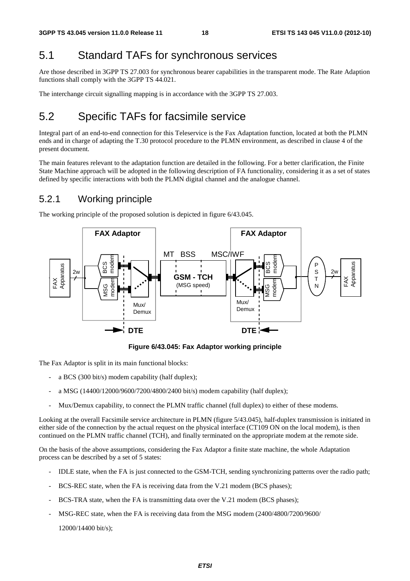### 5.1 Standard TAFs for synchronous services

Are those described in 3GPP TS 27.003 for synchronous bearer capabilities in the transparent mode. The Rate Adaption functions shall comply with the 3GPP TS 44.021.

The interchange circuit signalling mapping is in accordance with the 3GPP TS 27.003.

### 5.2 Specific TAFs for facsimile service

Integral part of an end-to-end connection for this Teleservice is the Fax Adaptation function, located at both the PLMN ends and in charge of adapting the T.30 protocol procedure to the PLMN environment, as described in clause 4 of the present document.

The main features relevant to the adaptation function are detailed in the following. For a better clarification, the Finite State Machine approach will be adopted in the following description of FA functionality, considering it as a set of states defined by specific interactions with both the PLMN digital channel and the analogue channel.

#### 5.2.1 Working principle

The working principle of the proposed solution is depicted in figure 6/43.045.



**Figure 6/43.045: Fax Adaptor working principle** 

The Fax Adaptor is split in its main functional blocks:

- a BCS (300 bit/s) modem capability (half duplex);
- a MSG (14400/12000/9600/7200/4800/2400 bit/s) modem capability (half duplex);
- Mux/Demux capability, to connect the PLMN traffic channel (full duplex) to either of these modems.

Looking at the overall Facsimile service architecture in PLMN (figure 5/43.045), half-duplex transmission is initiated in either side of the connection by the actual request on the physical interface (CT109 ON on the local modem), is then continued on the PLMN traffic channel (TCH), and finally terminated on the appropriate modem at the remote side.

On the basis of the above assumptions, considering the Fax Adaptor a finite state machine, the whole Adaptation process can be described by a set of 5 states:

- IDLE state, when the FA is just connected to the GSM-TCH, sending synchronizing patterns over the radio path;
- BCS-REC state, when the FA is receiving data from the V.21 modem (BCS phases);
- BCS-TRA state, when the FA is transmitting data over the V.21 modem (BCS phases);
- MSG-REC state, when the FA is receiving data from the MSG modem (2400/4800/7200/9600/

12000/14400 bit/s);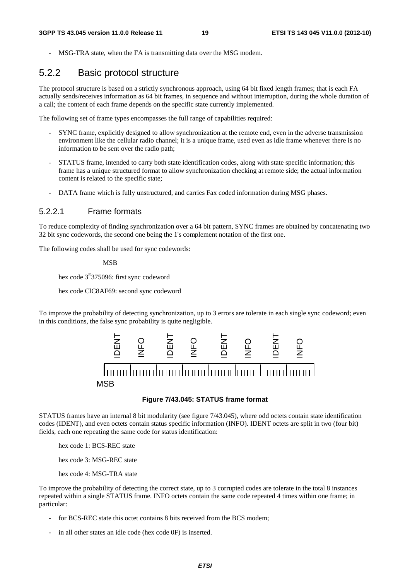MSG-TRA state, when the FA is transmitting data over the MSG modem.

#### 5.2.2 Basic protocol structure

The protocol structure is based on a strictly synchronous approach, using 64 bit fixed length frames; that is each FA actually sends/receives information as 64 bit frames, in sequence and without interruption, during the whole duration of a call; the content of each frame depends on the specific state currently implemented.

The following set of frame types encompasses the full range of capabilities required:

- SYNC frame, explicitly designed to allow synchronization at the remote end, even in the adverse transmission environment like the cellular radio channel; it is a unique frame, used even as idle frame whenever there is no information to be sent over the radio path;
- STATUS frame, intended to carry both state identification codes, along with state specific information; this frame has a unique structured format to allow synchronization checking at remote side; the actual information content is related to the specific state;
- DATA frame which is fully unstructured, and carries Fax coded information during MSG phases.

#### 5.2.2.1 Frame formats

To reduce complexity of finding synchronization over a 64 bit pattern, SYNC frames are obtained by concatenating two 32 bit sync codewords, the second one being the 1's complement notation of the first one.

The following codes shall be used for sync codewords:

MSB

hex code 3<sup>E</sup>375096: first sync codeword

hex code ClC8AF69: second sync codeword

To improve the probability of detecting synchronization, up to 3 errors are tolerate in each single sync codeword; even in this conditions, the false sync probability is quite negligible.



#### **Figure 7/43.045: STATUS frame format**

STATUS frames have an internal 8 bit modularity (see figure 7/43.045), where odd octets contain state identification codes (IDENT), and even octets contain status specific information (INFO). IDENT octets are split in two (four bit) fields, each one repeating the same code for status identification:

hex code 1: BCS-REC state

hex code 3: MSG-REC state

hex code 4: MSG-TRA state

To improve the probability of detecting the correct state, up to 3 corrupted codes are tolerate in the total 8 instances repeated within a single STATUS frame. INFO octets contain the same code repeated 4 times within one frame; in particular:

- for BCS-REC state this octet contains 8 bits received from the BCS modem;
- in all other states an idle code (hex code 0F) is inserted.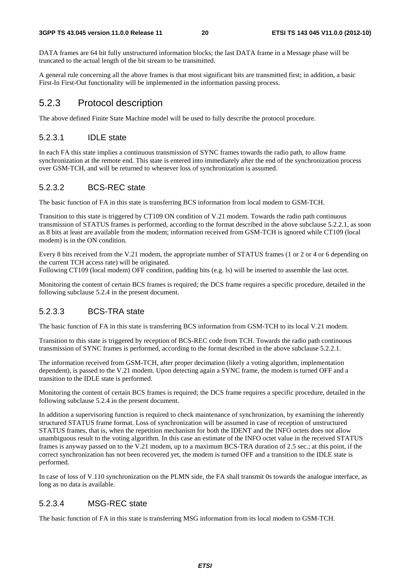DATA frames are 64 bit fully unstructured information blocks; the last DATA frame in a Message phase will be truncated to the actual length of the bit stream to be transmitted.

A general rule concerning all the above frames is that most significant bits are transmitted first; in addition, a basic First-In First-Out functionality will be implemented in the information passing process.

### 5.2.3 Protocol description

The above defined Finite State Machine model will be used to fully describe the protocol procedure.

#### 5.2.3.1 IDLE state

In each FA this state implies a continuous transmission of SYNC frames towards the radio path, to allow frame synchronization at the remote end. This state is entered into immediately after the end of the synchronization process over GSM-TCH, and will be returned to whenever loss of synchronization is assumed.

#### 5.2.3.2 BCS-REC state

The basic function of FA in this state is transferring BCS information from local modem to GSM-TCH.

Transition to this state is triggered by CT109 ON condition of V.21 modem. Towards the radio path continuous transmission of STATUS frames is performed, according to the format described in the above subclause 5.2.2.1, as soon as 8 bits at least are available from the modem; information received from GSM-TCH is ignored while CT109 (local modem) is in the ON condition.

Every 8 bits received from the V.21 modem, the appropriate number of STATUS frames (1 or 2 or 4 or 6 depending on the current TCH access rate) will be originated.

Following CT109 (local modem) OFF condition, padding bits (e.g. ls) will be inserted to assemble the last octet.

Monitoring the content of certain BCS frames is required; the DCS frame requires a specific procedure, detailed in the following subclause 5.2.4 in the present document.

#### 5.2.3.3 BCS-TRA state

The basic function of FA in this state is transferring BCS information from GSM-TCH to its local V.21 modem.

Transition to this state is triggered by reception of BCS-REC code from TCH. Towards the radio path continuous transmission of SYNC frames is performed, according to the format described in the above subclause 5.2.2.1.

The information received from GSM-TCH, after proper decimation (likely a voting algorithm, implementation dependent), is passed to the V.21 modem. Upon detecting again a SYNC frame, the modem is turned OFF and a transition to the IDLE state is performed.

Monitoring the content of certain BCS frames is required; the DCS frame requires a specific procedure, detailed in the following subclause 5.2.4 in the present document.

In addition a supervisoring function is required to check maintenance of synchronization, by examining the inherently structured STATUS frame format. Loss of synchronization will be assumed in case of reception of unstructured STATUS frames, that is, when the repetition mechanism for both the IDENT and the INFO octets does not allow unambiguous result to the voting algorithm. In this case an estimate of the INFO octet value in the received STATUS frames is anyway passed on to the V.21 modem, up to a maximum BCS-TRA duration of 2.5 sec.; at this point, if the correct synchronization has not been recovered yet, the modem is turned OFF and a transition to the IDLE state is performed.

In case of loss of V.110 synchronization on the PLMN side, the FA shall transmit 0s towards the analogue interface, as long as no data is available.

#### 5.2.3.4 MSG-REC state

The basic function of FA in this state is transferring MSG information from its local modem to GSM-TCH.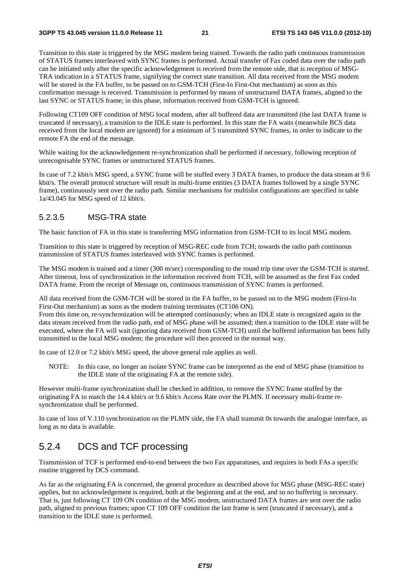Transition to this state is triggered by the MSG modem being trained. Towards the radio path continuous transmission of STATUS frames interleaved with SYNC frames is performed. Actual transfer of Fax coded data over the radio path can be initiated only after the specific acknowledgement is received from the remote side, that is reception of MSG-TRA indication in a STATUS frame, signifying the correct state transition. All data received from the MSG modem will be stored in the FA buffer, to be passed on to GSM-TCH (First-In First-Out mechanism) as soon as this confirmation message is received. Transmission is performed by means of unstructured DATA frames, aligned to the last SYNC or STATUS frame; in this phase, information received from GSM-TCH is ignored.

Following CT109 OFF condition of MSG local modem, after all buffered data are transmitted (the last DATA frame is truncated if necessary), a transition to the IDLE state is performed. In this state the FA waits (meanwhile BCS data received from the local modem are ignored) for a minimum of 5 transmitted SYNC frames, in order to indicate to the remote FA the end of the message.

While waiting for the acknowledgement re-synchronization shall be performed if necessary, following reception of unrecognisable SYNC frames or unstructured STATUS frames.

In case of 7.2 kbit/s MSG speed, a SYNC frame will be stuffed every 3 DATA frames, to produce the data stream at 9.6 kbit/s. The overall protocol structure will result in multi-frame entities (3 DATA frames followed by a single SYNC frame), continuously sent over the radio path. Similar mechanisms for multislot configurations are specified in table 1a/43.045 for MSG speed of 12 kbit/s.

#### 5.2.3.5 MSG-TRA state

The basic function of FA in this state is transferring MSG information from GSM-TCH to its local MSG modem.

Transition to this state is triggered by reception of MSG-REC code from TCH; towards the radio path continuous transmission of STATUS frames interleaved with SYNC frames is performed.

The MSG modem is trained and a timer (300 m/sec) corresponding to the round trip time over the GSM-TCH is started. After timeout, loss of synchronization in the information received from TCH, will be assumed as the first Fax coded DATA frame. From the receipt of Message on, continuous transmission of SYNC frames is performed.

All data received from the GSM-TCH will be stored in the FA buffer, to be passed on to the MSG modem (First-In First-Out mechanism) as soon as the modem training terminates (CT106 ON).

From this time on, re-synchronization will be attempted continuously; when an IDLE state is recognized again in the data stream received from the radio path, end of MSG phase will be assumed; then a transition to the IDLE state will be executed, where the FA will wait (ignoring data received from GSM-TCH) until the buffered information has been fully transmitted to the local MSG modem; the procedure will then proceed in the normal way.

In case of 12.0 or 7.2 kbit/s MSG speed, the above general rule applies as well.

NOTE: In this case, no longer an isolate SYNC frame can be interpreted as the end of MSG phase (transition to the IDLE state of the originating FA at the remote side).

However multi-frame synchronization shall be checked in addition, to remove the SYNC frame stuffed by the originating FA to match the 14.4 kbit/s or 9.6 kbit/s Access Rate over the PLMN. If necessary multi-frame resynchronization shall be performed.

In case of loss of V.110 synchronization on the PLMN side, the FA shall transmit 0s towards the analogue interface, as long as no data is available.

#### 5.2.4 DCS and TCF processing

Transmission of TCF is performed end-to-end between the two Fax apparatuses, and requires in both FAs a specific routine triggered by DCS command.

As far as the originating FA is concerned, the general procedure as described above for MSG phase (MSG-REC state) applies, but no acknowledgement is required, both at the beginning and at the end, and so no buffering is necessary. That is, just following CT 109 ON condition of the MSG modem, unstructured DATA frames are sent over the radio path, aligned to previous frames; upon CT 109 OFF condition the last frame is sent (truncated if necessary), and a transition to the IDLE state is performed.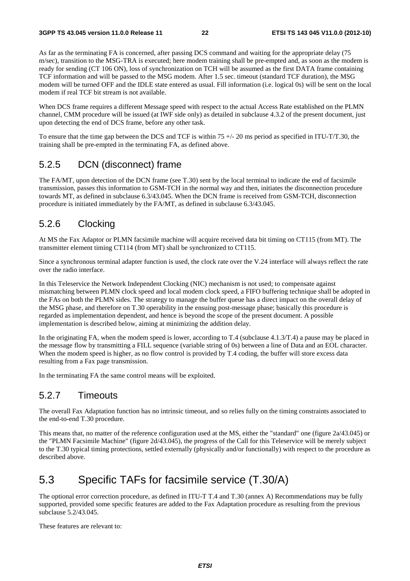As far as the terminating FA is concerned, after passing DCS command and waiting for the appropriate delay (75 m/sec), transition to the MSG-TRA is executed; here modem training shall be pre-empted and, as soon as the modem is ready for sending (CT 106 ON), loss of synchronization on TCH will be assumed as the first DATA frame containing TCF information and will be passed to the MSG modem. After 1.5 sec. timeout (standard TCF duration), the MSG modem will be turned OFF and the IDLE state entered as usual. Fill information (i.e. logical 0s) will be sent on the local modem if real TCF bit stream is not available.

When DCS frame requires a different Message speed with respect to the actual Access Rate established on the PLMN channel, CMM procedure will be issued (at IWF side only) as detailed in subclause 4.3.2 of the present document, just upon detecting the end of DCS frame, before any other task.

To ensure that the time gap between the DCS and TCF is within  $75 +/20$  ms period as specified in ITU-T/T.30, the training shall be pre-empted in the terminating FA, as defined above.

### 5.2.5 DCN (disconnect) frame

The FA/MT, upon detection of the DCN frame (see T.30) sent by the local terminal to indicate the end of facsimile transmission, passes this information to GSM-TCH in the normal way and then, initiates the disconnection procedure towards MT, as defined in subclause 6.3/43.045. When the DCN frame is received from GSM-TCH, disconnection procedure is initiated immediately by the FA/MT, as defined in subclause 6.3/43.045.

#### 5.2.6 Clocking

At MS the Fax Adaptor or PLMN facsimile machine will acquire received data bit timing on CT115 (from MT). The transmitter element timing CT114 (from MT) shall be synchronized to CT115.

Since a synchronous terminal adapter function is used, the clock rate over the V.24 interface will always reflect the rate over the radio interface.

In this Teleservice the Network Independent Clocking (NIC) mechanism is not used; to compensate against mismatching between PLMN clock speed and local modem clock speed, a FIFO buffering technique shall be adopted in the FAs on both the PLMN sides. The strategy to manage the buffer queue has a direct impact on the overall delay of the MSG phase, and therefore on T.30 operability in the ensuing post-message phase; basically this procedure is regarded as implementation dependent, and hence is beyond the scope of the present document. A possible implementation is described below, aiming at minimizing the addition delay.

In the originating FA, when the modem speed is lower, according to T.4 (subclause 4.1.3/T.4) a pause may be placed in the message flow by transmitting a FILL sequence (variable string of 0s) between a line of Data and an EOL character. When the modem speed is higher, as no flow control is provided by T.4 coding, the buffer will store excess data resulting from a Fax page transmission.

In the terminating FA the same control means will be exploited.

#### 5.2.7 Timeouts

The overall Fax Adaptation function has no intrinsic timeout, and so relies fully on the timing constraints associated to the end-to-end T.30 procedure.

This means that, no matter of the reference configuration used at the MS, either the "standard" one (figure 2a/43.045) or the "PLMN Facsimile Machine" (figure 2d/43.045), the progress of the Call for this Teleservice will be merely subject to the T.30 typical timing protections, settled externally (physically and/or functionally) with respect to the procedure as described above.

### 5.3 Specific TAFs for facsimile service (T.30/A)

The optional error correction procedure, as defined in ITU-T T.4 and T.30 (annex A) Recommendations may be fully supported, provided some specific features are added to the Fax Adaptation procedure as resulting from the previous subclause 5.2/43.045.

These features are relevant to: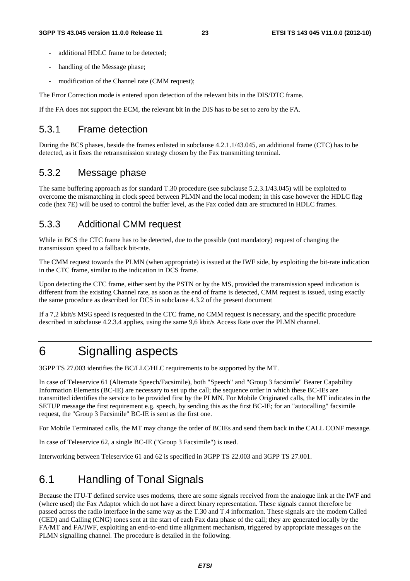- additional HDLC frame to be detected:
- handling of the Message phase;
- modification of the Channel rate (CMM request);

The Error Correction mode is entered upon detection of the relevant bits in the DIS/DTC frame.

If the FA does not support the ECM, the relevant bit in the DIS has to be set to zero by the FA.

#### 5.3.1 Frame detection

During the BCS phases, beside the frames enlisted in subclause 4.2.1.1/43.045, an additional frame (CTC) has to be detected, as it fixes the retransmission strategy chosen by the Fax transmitting terminal.

#### 5.3.2 Message phase

The same buffering approach as for standard T.30 procedure (see subclause 5.2.3.1/43.045) will be exploited to overcome the mismatching in clock speed between PLMN and the local modem; in this case however the HDLC flag code (hex 7E) will be used to control the buffer level, as the Fax coded data are structured in HDLC frames.

### 5.3.3 Additional CMM request

While in BCS the CTC frame has to be detected, due to the possible (not mandatory) request of changing the transmission speed to a fallback bit-rate.

The CMM request towards the PLMN (when appropriate) is issued at the IWF side, by exploiting the bit-rate indication in the CTC frame, similar to the indication in DCS frame.

Upon detecting the CTC frame, either sent by the PSTN or by the MS, provided the transmission speed indication is different from the existing Channel rate, as soon as the end of frame is detected, CMM request is issued, using exactly the same procedure as described for DCS in subclause 4.3.2 of the present document

If a 7,2 kbit/s MSG speed is requested in the CTC frame, no CMM request is necessary, and the specific procedure described in subclause 4.2.3.4 applies, using the same 9,6 kbit/s Access Rate over the PLMN channel.

### 6 Signalling aspects

3GPP TS 27.003 identifies the BC/LLC/HLC requirements to be supported by the MT.

In case of Teleservice 61 (Alternate Speech/Facsimile), both "Speech" and "Group 3 facsimile" Bearer Capability Information Elements (BC-IE) are necessary to set up the call; the sequence order in which these BC-IEs are transmitted identifies the service to be provided first by the PLMN. For Mobile Originated calls, the MT indicates in the SETUP message the first requirement e.g. speech, by sending this as the first BC-IE; for an "autocalling" facsimile request, the "Group 3 Facsimile" BC-IE is sent as the first one.

For Mobile Terminated calls, the MT may change the order of BCIEs and send them back in the CALL CONF message.

In case of Teleservice 62, a single BC-IE ("Group 3 Facsimile") is used.

Interworking between Teleservice 61 and 62 is specified in 3GPP TS 22.003 and 3GPP TS 27.001.

### 6.1 Handling of Tonal Signals

Because the ITU-T defined service uses modems, there are some signals received from the analogue link at the IWF and (where used) the Fax Adaptor which do not have a direct binary representation. These signals cannot therefore be passed across the radio interface in the same way as the T.30 and T.4 information. These signals are the modem Called (CED) and Calling (CNG) tones sent at the start of each Fax data phase of the call; they are generated locally by the FA/MT and FA/IWF, exploiting an end-to-end time alignment mechanism, triggered by appropriate messages on the PLMN signalling channel. The procedure is detailed in the following.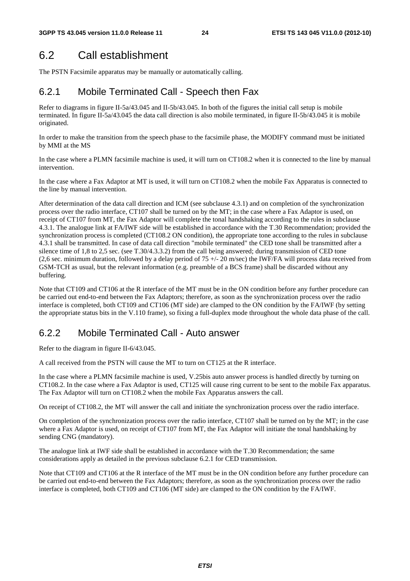### 6.2 Call establishment

The PSTN Facsimile apparatus may be manually or automatically calling.

### 6.2.1 Mobile Terminated Call - Speech then Fax

Refer to diagrams in figure II-5a/43.045 and II-5b/43.045. In both of the figures the initial call setup is mobile terminated. In figure II-5a/43.045 the data call direction is also mobile terminated, in figure II-5b/43.045 it is mobile originated.

In order to make the transition from the speech phase to the facsimile phase, the MODIFY command must be initiated by MMI at the MS

In the case where a PLMN facsimile machine is used, it will turn on CT108.2 when it is connected to the line by manual intervention.

In the case where a Fax Adaptor at MT is used, it will turn on CT108.2 when the mobile Fax Apparatus is connected to the line by manual intervention.

After determination of the data call direction and ICM (see subclause 4.3.1) and on completion of the synchronization process over the radio interface, CT107 shall be turned on by the MT; in the case where a Fax Adaptor is used, on receipt of CT107 from MT, the Fax Adaptor will complete the tonal handshaking according to the rules in subclause 4.3.1. The analogue link at FA/IWF side will be established in accordance with the T.30 Recommendation; provided the synchronization process is completed (CT108.2 ON condition), the appropriate tone according to the rules in subclause 4.3.1 shall be transmitted. In case of data call direction "mobile terminated" the CED tone shall be transmitted after a silence time of 1,8 to 2,5 sec. (see T.30/4.3.3.2) from the call being answered; during transmission of CED tone (2,6 sec. minimum duration, followed by a delay period of  $75 +/- 20$  m/sec) the IWF/FA will process data received from GSM-TCH as usual, but the relevant information (e.g. preamble of a BCS frame) shall be discarded without any buffering.

Note that CT109 and CT106 at the R interface of the MT must be in the ON condition before any further procedure can be carried out end-to-end between the Fax Adaptors; therefore, as soon as the synchronization process over the radio interface is completed, both CT109 and CT106 (MT side) are clamped to the ON condition by the FA/IWF (by setting the appropriate status bits in the V.110 frame), so fixing a full-duplex mode throughout the whole data phase of the call.

### 6.2.2 Mobile Terminated Call - Auto answer

Refer to the diagram in figure II-6/43.045.

A call received from the PSTN will cause the MT to turn on CT125 at the R interface.

In the case where a PLMN facsimile machine is used, V.25bis auto answer process is handled directly by turning on CT108.2. In the case where a Fax Adaptor is used, CT125 will cause ring current to be sent to the mobile Fax apparatus. The Fax Adaptor will turn on CT108.2 when the mobile Fax Apparatus answers the call.

On receipt of CT108.2, the MT will answer the call and initiate the synchronization process over the radio interface.

On completion of the synchronization process over the radio interface, CT107 shall be turned on by the MT; in the case where a Fax Adaptor is used, on receipt of CT107 from MT, the Fax Adaptor will initiate the tonal handshaking by sending CNG (mandatory).

The analogue link at IWF side shall be established in accordance with the T.30 Recommendation; the same considerations apply as detailed in the previous subclause 6.2.1 for CED transmission.

Note that CT109 and CT106 at the R interface of the MT must be in the ON condition before any further procedure can be carried out end-to-end between the Fax Adaptors; therefore, as soon as the synchronization process over the radio interface is completed, both CT109 and CT106 (MT side) are clamped to the ON condition by the FA/IWF.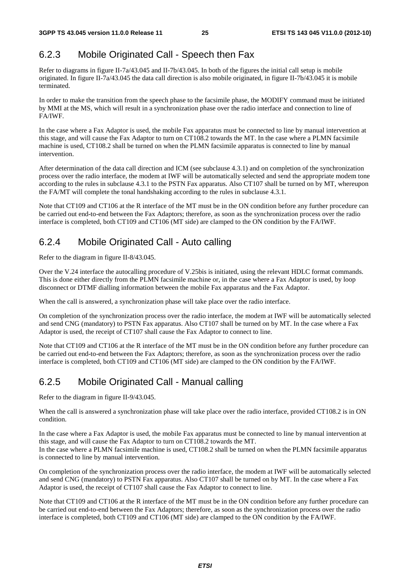### 6.2.3 Mobile Originated Call - Speech then Fax

Refer to diagrams in figure II-7a/43.045 and II-7b/43.045. In both of the figures the initial call setup is mobile originated. In figure II-7a/43.045 the data call direction is also mobile originated, in figure II-7b/43.045 it is mobile terminated.

In order to make the transition from the speech phase to the facsimile phase, the MODIFY command must be initiated by MMI at the MS, which will result in a synchronization phase over the radio interface and connection to line of FA/IWF.

In the case where a Fax Adaptor is used, the mobile Fax apparatus must be connected to line by manual intervention at this stage, and will cause the Fax Adaptor to turn on CT108.2 towards the MT. In the case where a PLMN facsimile machine is used, CT108.2 shall be turned on when the PLMN facsimile apparatus is connected to line by manual intervention.

After determination of the data call direction and ICM (see subclause 4.3.1) and on completion of the synchronization process over the radio interface, the modem at IWF will be automatically selected and send the appropriate modem tone according to the rules in subclause 4.3.1 to the PSTN Fax apparatus. Also CT107 shall be turned on by MT, whereupon the FA/MT will complete the tonal handshaking according to the rules in subclause 4.3.1.

Note that CT109 and CT106 at the R interface of the MT must be in the ON condition before any further procedure can be carried out end-to-end between the Fax Adaptors; therefore, as soon as the synchronization process over the radio interface is completed, both CT109 and CT106 (MT side) are clamped to the ON condition by the FA/IWF.

### 6.2.4 Mobile Originated Call - Auto calling

Refer to the diagram in figure II-8/43.045.

Over the V.24 interface the autocalling procedure of V.25bis is initiated, using the relevant HDLC format commands. This is done either directly from the PLMN facsimile machine or, in the case where a Fax Adaptor is used, by loop disconnect or DTMF dialling information between the mobile Fax apparatus and the Fax Adaptor.

When the call is answered, a synchronization phase will take place over the radio interface.

On completion of the synchronization process over the radio interface, the modem at IWF will be automatically selected and send CNG (mandatory) to PSTN Fax apparatus. Also CT107 shall be turned on by MT. In the case where a Fax Adaptor is used, the receipt of CT107 shall cause the Fax Adaptor to connect to line.

Note that CT109 and CT106 at the R interface of the MT must be in the ON condition before any further procedure can be carried out end-to-end between the Fax Adaptors; therefore, as soon as the synchronization process over the radio interface is completed, both CT109 and CT106 (MT side) are clamped to the ON condition by the FA/IWF.

### 6.2.5 Mobile Originated Call - Manual calling

Refer to the diagram in figure II-9/43.045.

When the call is answered a synchronization phase will take place over the radio interface, provided CT108.2 is in ON condition.

In the case where a Fax Adaptor is used, the mobile Fax apparatus must be connected to line by manual intervention at this stage, and will cause the Fax Adaptor to turn on CT108.2 towards the MT.

In the case where a PLMN facsimile machine is used, CT108.2 shall be turned on when the PLMN facsimile apparatus is connected to line by manual intervention.

On completion of the synchronization process over the radio interface, the modem at IWF will be automatically selected and send CNG (mandatory) to PSTN Fax apparatus. Also CT107 shall be turned on by MT. In the case where a Fax Adaptor is used, the receipt of CT107 shall cause the Fax Adaptor to connect to line.

Note that CT109 and CT106 at the R interface of the MT must be in the ON condition before any further procedure can be carried out end-to-end between the Fax Adaptors; therefore, as soon as the synchronization process over the radio interface is completed, both CT109 and CT106 (MT side) are clamped to the ON condition by the FA/IWF.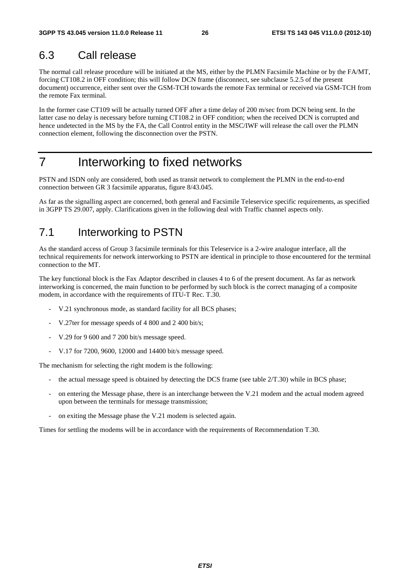### 6.3 Call release

The normal call release procedure will be initiated at the MS, either by the PLMN Facsimile Machine or by the FA/MT, forcing CT108.2 in OFF condition; this will follow DCN frame (disconnect, see subclause 5.2.5 of the present document) occurrence, either sent over the GSM-TCH towards the remote Fax terminal or received via GSM-TCH from the remote Fax terminal.

In the former case CT109 will be actually turned OFF after a time delay of 200 m/sec from DCN being sent. In the latter case no delay is necessary before turning CT108.2 in OFF condition; when the received DCN is corrupted and hence undetected in the MS by the FA, the Call Control entity in the MSC/IWF will release the call over the PLMN connection element, following the disconnection over the PSTN.

# 7 Interworking to fixed networks

PSTN and ISDN only are considered, both used as transit network to complement the PLMN in the end-to-end connection between GR 3 facsimile apparatus, figure 8/43.045.

As far as the signalling aspect are concerned, both general and Facsimile Teleservice specific requirements, as specified in 3GPP TS 29.007, apply. Clarifications given in the following deal with Traffic channel aspects only.

### 7.1 Interworking to PSTN

As the standard access of Group 3 facsimile terminals for this Teleservice is a 2-wire analogue interface, all the technical requirements for network interworking to PSTN are identical in principle to those encountered for the terminal connection to the MT.

The key functional block is the Fax Adaptor described in clauses 4 to 6 of the present document. As far as network interworking is concerned, the main function to be performed by such block is the correct managing of a composite modem, in accordance with the requirements of ITU-T Rec. T.30.

- V.21 synchronous mode, as standard facility for all BCS phases;
- V.27ter for message speeds of 4 800 and 2 400 bit/s;
- V.29 for 9 600 and 7 200 bit/s message speed.
- V.17 for 7200, 9600, 12000 and 14400 bit/s message speed.

The mechanism for selecting the right modem is the following:

- the actual message speed is obtained by detecting the DCS frame (see table  $2/T.30$ ) while in BCS phase;
- on entering the Message phase, there is an interchange between the V.21 modem and the actual modem agreed upon between the terminals for message transmission;
- on exiting the Message phase the V.21 modem is selected again.

Times for settling the modems will be in accordance with the requirements of Recommendation T.30.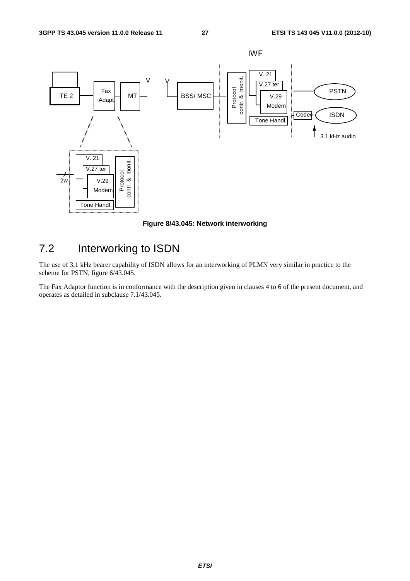

**Figure 8/43.045: Network interworking** 

### 7.2 Interworking to ISDN

The use of 3,1 kHz bearer capability of ISDN allows for an interworking of PLMN very similar in practice to the scheme for PSTN, figure 6/43.045.

The Fax Adaptor function is in conformance with the description given in clauses 4 to 6 of the present document, and operates as detailed in subclause 7.1/43.045.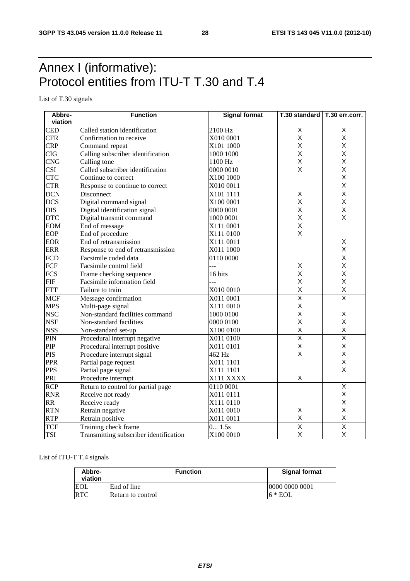# Annex I (informative): Protocol entities from ITU-T T.30 and T.4

List of T.30 signals

| Abbre-     | <b>Function</b>                        | <b>Signal format</b> | T.30 standard   T.30 err.corr. |                         |
|------------|----------------------------------------|----------------------|--------------------------------|-------------------------|
| viation    |                                        |                      |                                |                         |
| <b>CED</b> | Called station identification          | 2100 Hz              | $\mathsf X$                    | X                       |
| <b>CFR</b> | Confirmation to receive                | X010 0001            | X                              | X                       |
| <b>CRP</b> | Command repeat                         | X101 1000            | X                              | X                       |
| <b>CIG</b> | Calling subscriber identification      | 1000 1000            | X                              | X                       |
| <b>CNG</b> | Calling tone                           | 1100 Hz              | X                              | X                       |
| <b>CSI</b> | Called subscriber identification       | 0000 0010            | X                              | X                       |
| <b>CTC</b> | Continue to correct                    | X100 1000            |                                | X                       |
| <b>CTR</b> | Response to continue to correct        | X010 0011            |                                | $\pmb{\times}$          |
| <b>DCN</b> | Disconnect                             | X101 1111            | X                              | $\overline{\mathsf{x}}$ |
| <b>DCS</b> | Digital command signal                 | X100 0001            | $\mathsf{X}$                   | X                       |
| <b>DIS</b> | Digital identification signal          | 0000 0001            | X                              | Χ                       |
| <b>DTC</b> | Digital transmit command               | 1000 0001            | X                              | X                       |
| <b>EOM</b> | End of message                         | X111 0001            | $\mathsf X$                    |                         |
| EOP        | End of procedure                       | X111 0100            | $\mathsf{x}$                   |                         |
| <b>EOR</b> | End of retransmission                  | X111 0011            |                                | X                       |
| <b>ERR</b> | Response to end of retransmission      | X011 1000            |                                | X                       |
| <b>FCD</b> | Facsimile coded data                   | 0110 0000            |                                | $\overline{\mathsf{x}}$ |
| FCF        | Facsimile control field                | ---                  | $\mathsf X$                    | X                       |
| <b>FCS</b> | Frame checking sequence                | 16 bits              | X                              | X                       |
| FIF        | Facsimile information field            |                      | X                              | X                       |
| <b>FTT</b> | Failure to train                       | X010 0010            | X                              | X                       |
| <b>MCF</b> | Message confirmation                   | X011 0001            | $\overline{\mathsf{x}}$        | $\overline{\mathsf{x}}$ |
| <b>MPS</b> | Multi-page signal                      | X111 0010            | X                              |                         |
| <b>NSC</b> | Non-standard facilities command        | 1000 0100            | X                              | X                       |
| <b>NSF</b> | Non-standard facilities                | 0000 0100            | X                              | X                       |
| <b>NSS</b> | Non-standard set-up                    | X100 0100            | $\mathsf X$                    | X                       |
| PIN        | Procedural interrupt negative          | X011 0100            | $\overline{\mathsf{x}}$        | $\overline{\mathsf{x}}$ |
| PIP        | Procedural interrupt positive          | X011 0101            | X                              | X                       |
| <b>PIS</b> | Procedure interrupt signal             | 462 Hz               | X                              | Χ                       |
| <b>PPR</b> | Partial page request                   | X011 1101            |                                | X                       |
| <b>PPS</b> | Partial page signal                    | X111 1101            |                                | X                       |
| PRI        | Procedure interrupt                    | X111 XXXX            | X                              |                         |
| <b>RCP</b> | Return to control for partial page     | 0110 0001            |                                | $\overline{\mathsf{x}}$ |
| <b>RNR</b> | Receive not ready                      | X011 0111            |                                | X                       |
| <b>RR</b>  | Receive ready                          | X111 0110            |                                | X                       |
| <b>RTN</b> | Retrain negative                       | X011 0010            | X                              | X                       |
| <b>RTP</b> | Retrain positive                       | X011 0011            | $\mathsf X$                    | $\pmb{\mathsf{X}}$      |
| <b>TCF</b> | Training check frame                   | 0 1.5s               | $\overline{\mathsf{x}}$        | $\overline{\mathsf{x}}$ |
| <b>TSI</b> | Transmitting subscriber identification | X100 0010            | X                              | X                       |

#### List of ITU-T T.4 signals

| Abbre-<br>viation | <b>Function</b>   | <b>Signal format</b> |
|-------------------|-------------------|----------------------|
| <b>EOL</b>        | End of line       | 10000 0000 0001      |
| <b>RTC</b>        | Return to control | $6 * EOL$            |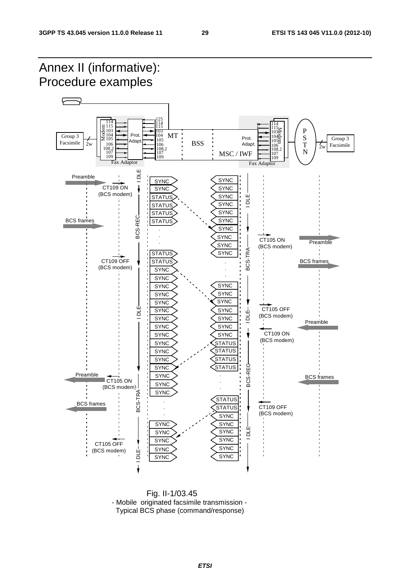

 Fig. II-1/03.45 - Mobile originated facsimile transmission - Typical BCS phase (command/response)

*ETSI*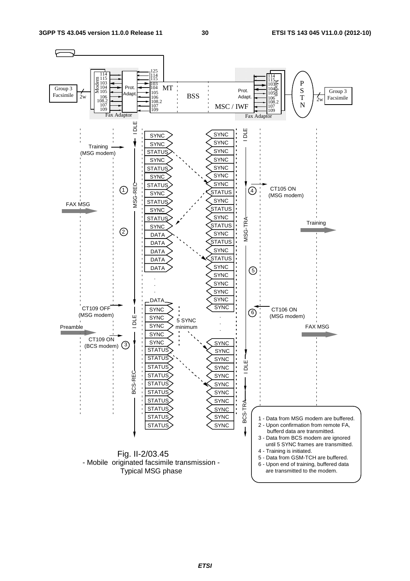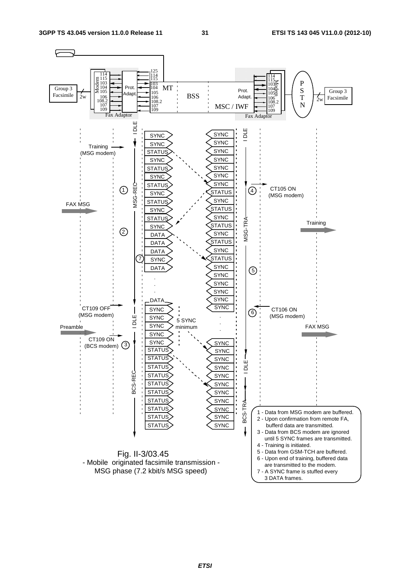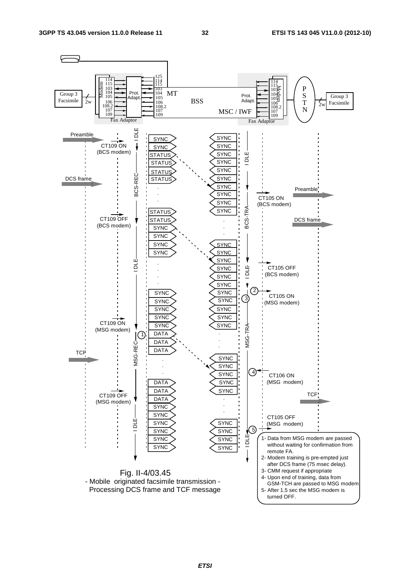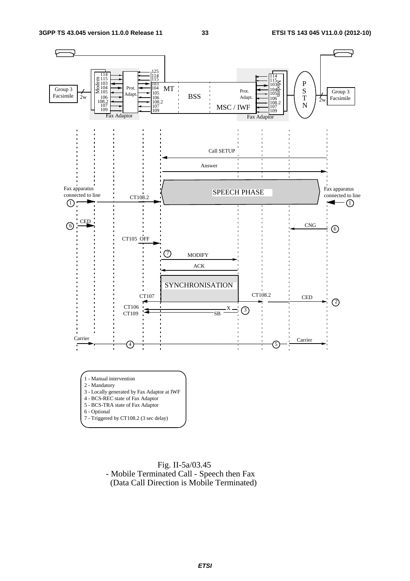

 Fig. II-5a/03.45 - Mobile Terminated Call - Speech then Fax (Data Call Direction is Mobile Terminated)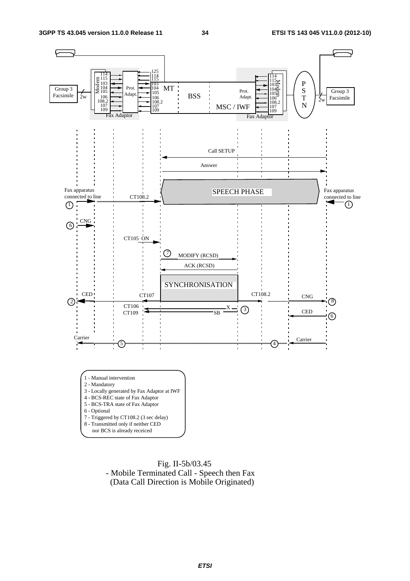

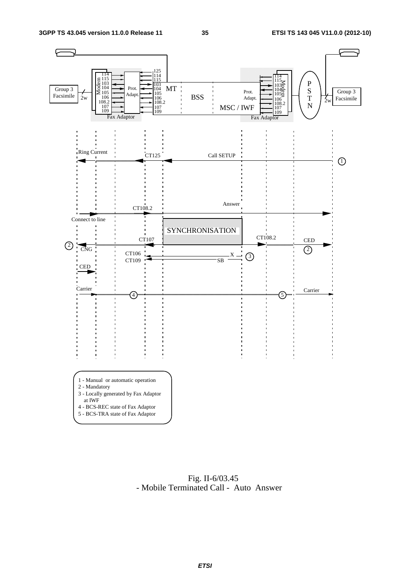

 Fig. II-6/03.45 - Mobile Terminated Call - Auto Answer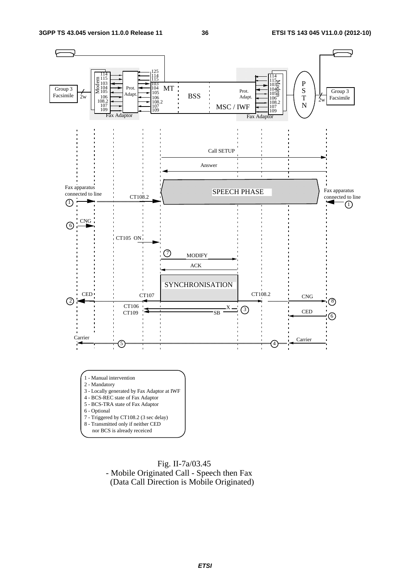

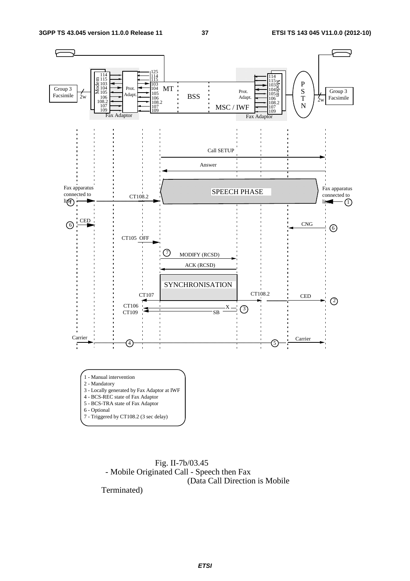

 Fig. II-7b/03.45 - Mobile Originated Call - Speech then Fax (Data Call Direction is Mobile

Terminated)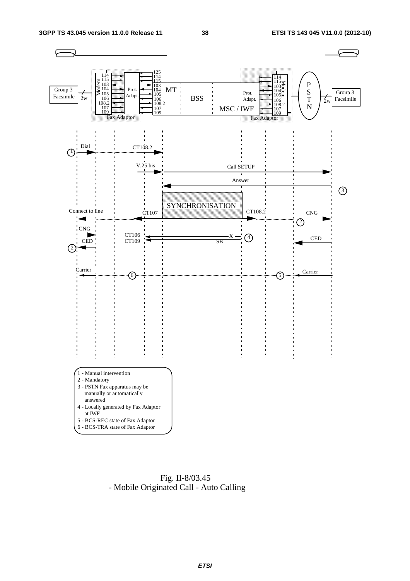

 Fig. II-8/03.45 - Mobile Originated Call - Auto Calling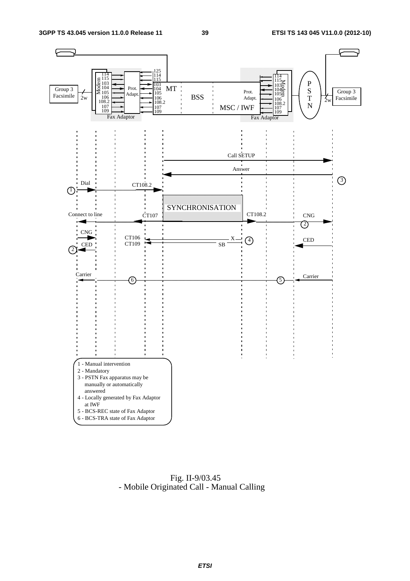

 Fig. II-9/03.45 - Mobile Originated Call - Manual Calling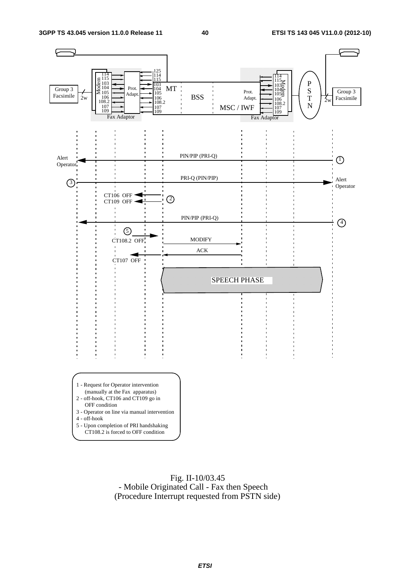

 Fig. II-10/03.45 - Mobile Originated Call - Fax then Speech (Procedure Interrupt requested from PSTN side)

*ETSI*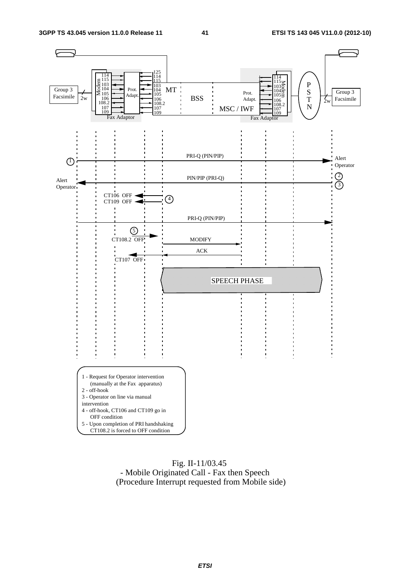

#### Fig. II-11/03.45 - Mobile Originated Call - Fax then Speech (Procedure Interrupt requested from Mobile side)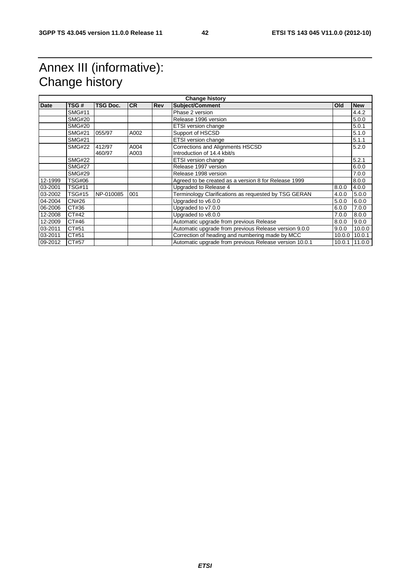# Annex III (informative): Change history

| Date    | TSG#          | TSG Doc.         | <b>CR</b>    | <b>Rev</b> | <b>Subject/Comment</b>                                                 | <b>Old</b> | <b>New</b> |
|---------|---------------|------------------|--------------|------------|------------------------------------------------------------------------|------------|------------|
|         | <b>SMG#11</b> |                  |              |            | Phase 2 version                                                        |            | 4.4.2      |
|         | <b>SMG#20</b> |                  |              |            | Release 1996 version                                                   |            | 5.0.0      |
|         | <b>SMG#20</b> |                  |              |            | ETSI version change                                                    |            | 5.0.1      |
|         | <b>SMG#21</b> | 055/97           | A002         |            | Support of HSCSD                                                       |            | 5.1.0      |
|         | <b>SMG#21</b> |                  |              |            | ETSI version change                                                    |            | 5.1.1      |
|         | <b>SMG#22</b> | 412/97<br>460/97 | A004<br>A003 |            | <b>Corrections and Alignments HSCSD</b><br>Introduction of 14.4 kbit/s |            | 5.2.0      |
|         | <b>SMG#22</b> |                  |              |            | <b>ETSI</b> version change                                             |            | 5.2.1      |
|         | <b>SMG#27</b> |                  |              |            | Release 1997 version                                                   |            | 6.0.0      |
|         | <b>SMG#29</b> |                  |              |            | Release 1998 version                                                   |            | 7.0.0      |
| 12-1999 | <b>TSG#06</b> |                  |              |            | Agreed to be created as a version 8 for Release 1999                   |            | 8.0.0      |
| 03-2001 | <b>TSG#11</b> |                  |              |            | Upgraded to Release 4                                                  | 8.0.0      | 4.0.0      |
| 03-2002 | <b>TSG#15</b> | NP-010085        | 001          |            | Terminology Clarifications as requested by TSG GERAN                   | 4.0.0      | 5.0.0      |
| 04-2004 | <b>CN#26</b>  |                  |              |            | Upgraded to v6.0.0                                                     | 5.0.0      | 6.0.0      |
| 06-2006 | CT#36         |                  |              |            | Upgraded to v7.0.0                                                     | 6.0.0      | 7.0.0      |
| 12-2008 | CT#42         |                  |              |            | Upgraded to v8.0.0                                                     | 7.0.0      | 8.0.0      |
| 12-2009 | CT#46         |                  |              |            | Automatic upgrade from previous Release                                | 8.0.0      | 9.0.0      |
| 03-2011 | CT#51         |                  |              |            | Automatic upgrade from previous Release version 9.0.0                  | 9.0.0      | 10.0.0     |
| 03-2011 | CT#51         |                  |              |            | Correction of heading and numbering made by MCC                        | 10.0.0     | 10.0.1     |
| 09-2012 | CT#57         |                  |              |            | Automatic upgrade from previous Release version 10.0.1                 | 10.0.1     | 11.0.0     |